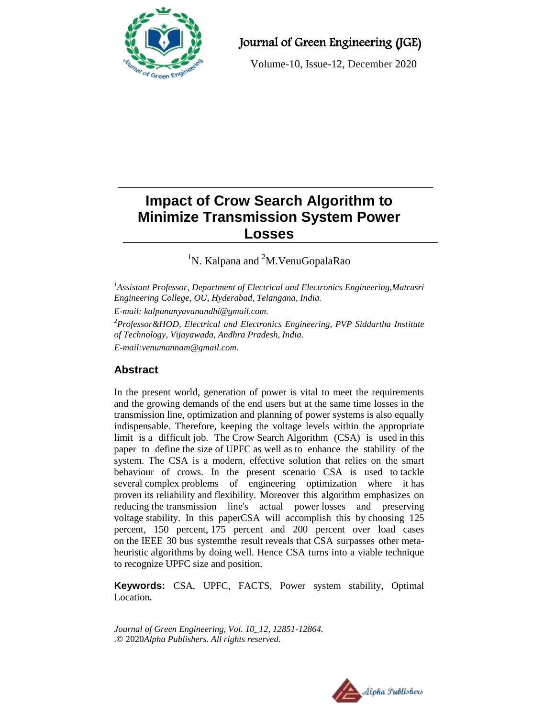

Journal of Green Engineering (JGE)

Volume-10, Issue-12, December 2020

# **Impact of Crow Search Algorithm to Minimize Transmission System Power Losses**

<sup>1</sup>N. Kalpana and <sup>2</sup>M. VenuGopalaRao

*<sup>1</sup>Assistant Professor, Department of Electrical and Electronics Engineering,Matrusri Engineering College, OU, Hyderabad, Telangana, India.*

*E-mail: [kalpananyavanandhi@gmail.com.](mailto:kalpananyavanandhi@gmail.com)*

*<sup>2</sup>Professor&HOD, Electrical and Electronics Engineering, PVP Siddartha Institute of Technology, Vijayawada, Andhra Pradesh, India.*

*E-mail[:venumannam@gmail.com.](mailto:kalpananyavanandhi@gmail.com)*

# **Abstract**

In the present world, generation of power is vital to meet the requirements and the growing demands of the end users but at the same time losses in the transmission line, optimization and planning of power systems is also equally indispensable. Therefore, keeping the voltage levels within the appropriate limit is a difficult job. The Crow Search Algorithm (CSA) is used in this paper to define the size of UPFC as well as to enhance the stability of the system. The CSA is a modern, effective solution that relies on the smart behaviour of crows. In the present scenario CSA is used to tackle several complex problems of engineering optimization where it has proven its reliability and flexibility. Moreover this algorithm emphasizes on reducing the transmission line's actual power losses and preserving voltage stability. In this paperCSA will accomplish this by choosing 125 percent, 150 percent, 175 percent and 200 percent over load cases on the IEEE 30 bus systemthe result reveals that CSA surpasses other metaheuristic algorithms by doing well. Hence CSA turns into a viable technique to recognize UPFC size and position.

**Keywords:** CSA, UPFC, FACTS, Power system stability, Optimal Location*.*

*Journal of Green Engineering, Vol. 10\_12, 12851-12864. .*© 2020*Alpha Publishers. All rights reserved.*

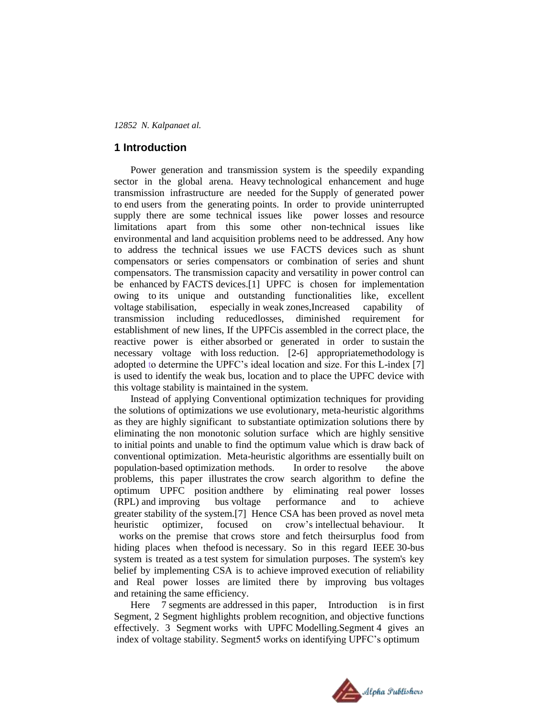#### **1 Introduction**

Power generation and transmission system is the speedily expanding sector in the global arena. Heavy technological enhancement and huge transmission infrastructure are needed for the Supply of generated power to end users from the generating points. In order to provide uninterrupted supply there are some technical issues like power losses and resource limitations apart from this some other non-technical issues like environmental and land acquisition problems need to be addressed. Any how to address the technical issues we use FACTS devices such as shunt compensators or series compensators or combination of series and shunt compensators. The transmission capacity and versatility in power control can be enhanced by FACTS devices.[1] UPFC is chosen for implementation owing to its unique and outstanding functionalities like, excellent voltage stabilisation, especially in weak zones,Increased capability of transmission including reducedlosses, diminished requirement for establishment of new lines, If the UPFCis assembled in the correct place, the reactive power is either absorbed or generated in order to sustain the necessary voltage with loss reduction. [2-6] appropriatemethodology is adopted to determine the UPFC"s ideal location and size. For this L-index [7] is used to identify the weak bus, location and to place the UPFC device with this voltage stability is maintained in the system.

Instead of applying Conventional optimization techniques for providing the solutions of optimizations we use evolutionary, meta-heuristic algorithms as they are highly significant to substantiate optimization solutions there by eliminating the non monotonic solution surface which are highly sensitive to initial points and unable to find the optimum value which is draw back of conventional optimization. Meta-heuristic algorithms are essentially built on population-based optimization methods. In order to resolve the above problems, this paper illustrates the crow search algorithm to define the optimum UPFC position andthere by eliminating real power losses (RPL) and improving bus voltage performance and to achieve greater stability of the system.[7] Hence CSA has been proved as novel meta heuristic optimizer, focused on crow"s intellectual behaviour. It works on the premise that crows store and fetch theirsurplus food from hiding places when thefood is necessary. So in this regard IEEE 30-bus system is treated as a test system for simulation purposes. The system's key belief by implementing CSA is to achieve improved execution of reliability and Real power losses are limited there by improving bus voltages and retaining the same efficiency.

Here 7 segments are addressed in this paper, Introduction is in first Segment, 2 Segment highlights problem recognition, and objective functions effectively. 3 Segment works with UPFC Modelling.Segment 4 gives an index of voltage stability. Segment5 works on identifying UPFC"s optimum

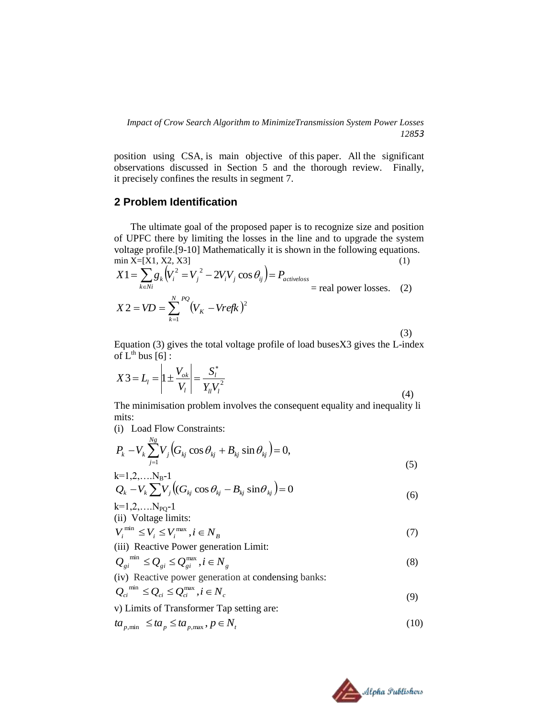position using CSA, is main objective of this paper. All the significant observations discussed in Section 5 and the thorough review. Finally, it precisely confines the results in segment 7.

## **2 Problem Identification**

The ultimate goal of the proposed paper is to recognize size and position of UPFC there by limiting the losses in the line and to upgrade the system voltage profile.[9-10] Mathematically it is shown in the following equations. min  $X=[X1, X2, X3]$  (1)

$$
X1 = \sum_{k \in Ni} g_k (V_i^2 = V_j^2 - 2V_i V_j \cos \theta_{ij}) = P_{active loss}
$$
  
= real power losses. (2)  

$$
X2 = VD = \sum_{k=1}^{N} \binom{PQ}{V_K - Vrefk}^2
$$

(3)

Equation (3) gives the total voltage profile of load busesX3 gives the L-index of  $L^{th}$  bus  $[6]$ :

$$
X3 = L_1 = \left| 1 \pm \frac{V_{ok}}{V_l} \right| = \frac{S_l^*}{Y_{ll} V_l^2}
$$
 (4)

The minimisation problem involves the consequent equality and inequality li mits:

(i) Load Flow Constraints:  $N_{\alpha}$ 

$$
P_{k} - V_{k} \sum_{j=1}^{N_{S}} V_{j} \Big( G_{kj} \cos \theta_{kj} + B_{kj} \sin \theta_{kj} \Big) = 0,
$$
  
\n
$$
k=1,2,...N_{B}-1
$$
  
\n
$$
Q_{k} - V_{k} \sum V_{j} \Big( (G_{kj} \cos \theta_{kj} - B_{kj} \sin \theta_{kj} \Big) = 0
$$
\n(5)

$$
Q_k - V_k \sum V_j \left( (G_{kj} \cos \theta_{kj} - B_{kj} \sin \theta_{kj} ) \right) = 0
$$
  
k=1,2,...N<sub>PQ</sub>-1 (6)

(ii) Voltage limits:

$$
V_i^{\min} \le V_i \le V_i^{\max}, i \in N_B \tag{7}
$$

(iii) Reactive Power generation Limit:

$$
Q_{gi}^{\min} \le Q_{gi} \le Q_{gi}^{\max}, i \in N_g \tag{8}
$$

(iv) Reactive power generation at condensing banks:

$$
Q_{ci}^{\min} \leq Q_{ci} \leq Q_{ci}^{\max}, i \in N_c
$$
\n(9)

v) Limits of Transformer Tap setting are:

$$
ta_{p,\min} \le ta_p \le ta_{p,\max}, p \in N_t
$$
\n(10)

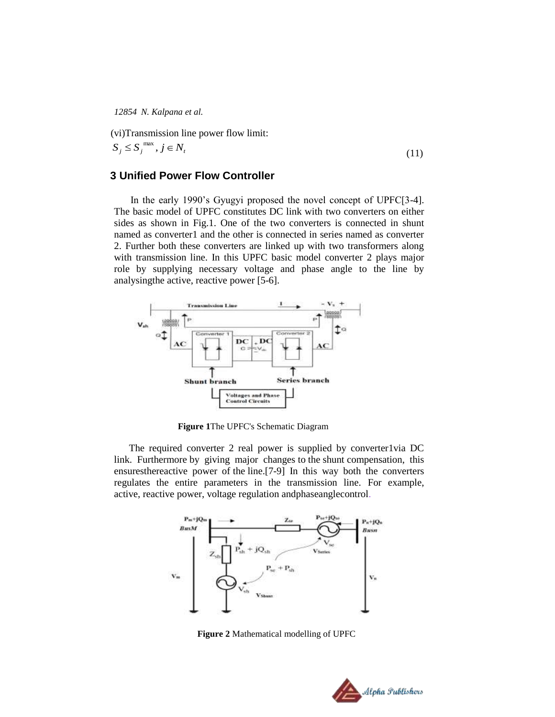(vi)Transmission line power flow limit:

$$
S_j \le S_j^{\max}, j \in N_t \tag{11}
$$

## **3 Unified Power Flow Controller**

In the early 1990"s Gyugyi proposed the novel concept of UPFC[3-4]. The basic model of UPFC constitutes DC link with two converters on either sides as shown in Fig.1. One of the two converters is connected in shunt named as converter1 and the other is connected in series named as converter 2. Further both these converters are linked up with two transformers along with transmission line. In this UPFC basic model converter 2 plays major role by supplying necessary voltage and phase angle to the line by analysingthe active, reactive power [5-6].



**Figure 1**The UPFC's Schematic Diagram

The required converter 2 real power is supplied by converter1via DC link. Furthermore by giving major changes to the shunt compensation, this ensuresthereactive power of the line.[7-9] In this way both the converters regulates the entire parameters in the transmission line. For example, active, reactive power, voltage regulation andphaseanglecontrol.



**Figure 2** Mathematical modelling of UPFC

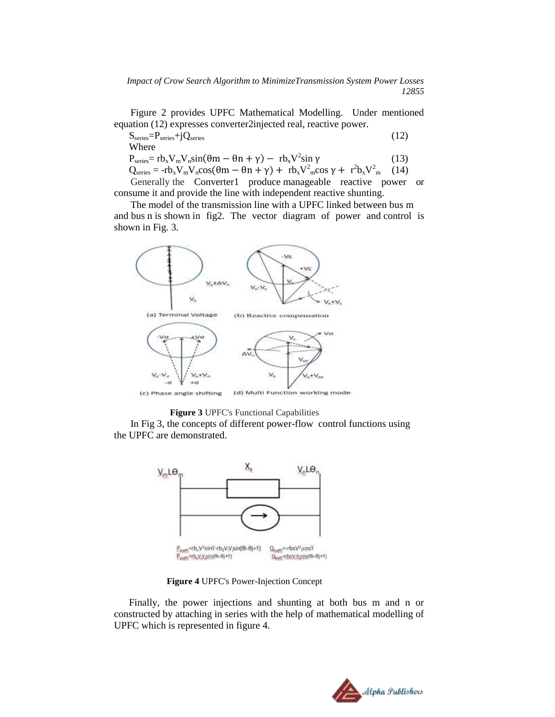*Impact of Crow Search Algorithm to MinimizeTransmission System Power Losses 12855*

Figure 2 provides UPFC Mathematical Modelling. Under mentioned equation (12) expresses converter2injected real, reactive power.

 $S_{series} = P_{series} + jQ_{series}$  (12) Where

 $P_{series} = rb_x V_m V_n sin(\theta m - \theta n + \gamma) - rb_x V^2 sin \gamma$  (13)

 $Q_{\text{series}} = -rb_xV_mV_n\cos(\theta m - \theta n + \gamma) + rb_xV_{n}^2\cos\gamma + r^2b_xV^2$  $(14)$ 

Generally the Converter1 produce [manageable](https://www.wordhippo.com/what-is/another-word-for/manageable.html) reactive power or consume it and provide the line with independent reactive shunting.

The model of the transmission line with a UPFC linked between bus m and bus n is shown in fig2. The vector diagram of power and control is shown in Fig. 3.



**Figure 3** UPFC's Functional Capabilities

In Fig 3, the concepts of different power-flow control functions using the UPFC are demonstrated.



**Figure 4** UPFC's Power-Injection Concept

Finally, the power injections and shunting at both bus m and n or constructed by attaching in series with the help of mathematical modelling of UPFC which is represented in figure 4.

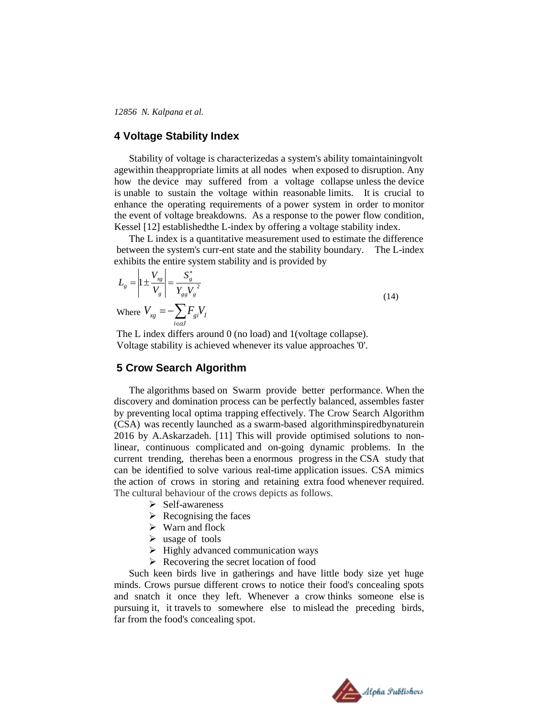#### **4 Voltage Stability Index**

Stability of voltage is characterizedas a system's ability tomaintainingvolt agewithin theappropriate limits at all nodes when exposed to disruption. Any how the device may suffered from a voltage collapse unless the device is unable to sustain the voltage within reasonable limits. It is crucial to enhance the operating requirements of a power system in order to monitor the event of voltage breakdowns. As a response to the power flow condition, Kessel [12] establishedthe L-index by offering a voltage stability index.

The L index is a quantitative measurement used to estimate the difference between the system's curr-ent state and the stability boundary. The L-index exhibits the entire system stability and is provided by

$$
L_g = \left| 1 \pm \frac{V_{xg}}{V_g} \right| = \frac{S_g^*}{Y_{gg} V_g^2}
$$
  
Where 
$$
V_{xg} = -\sum_{i \in \alpha J} F_{gi} V_I
$$
 (14)

The L index differs around 0 (no load) and 1 (voltage collapse). Voltage stability is achieved whenever its value approaches '0'.

## **5 Crow Search Algorithm**

The algorithms based on Swarm provide better performance. When the discovery and domination process can be perfectly balanced, assembles faster by preventing local optima trapping effectively. The Crow Search Algorithm (CSA) was recently launched as a swarm-based algorithminspiredbynaturein 2016 by A.Askarzadeh. [11] This will provide optimised solutions to nonlinear, continuous complicated and on-going dynamic problems. In the current trending, therehas been a enormous progress in the CSA study that can be identified to solve various real-time application issues. CSA mimics the action of crows in storing and retaining extra food whenever required. The cultural behaviour of the crows depicts as follows.

- $\triangleright$  Self-awareness
- $\triangleright$  Recognising the faces
- $\triangleright$  Warn and flock
- $\triangleright$  usage of tools
- $\triangleright$  Highly advanced communication ways
- $\triangleright$  Recovering the secret location of food

Such keen birds live in gatherings and have little body size yet huge minds. Crows pursue different crows to notice their food's concealing spots and snatch it once they left. Whenever a crow thinks someone else is pursuing it, it travels to somewhere else to mislead the preceding birds, far from the food's concealing spot.

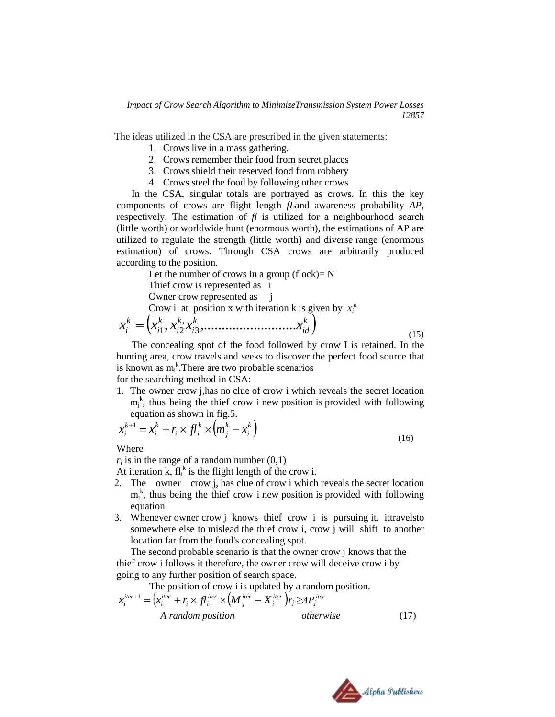The ideas utilized in the CSA are prescribed in the given statements:

- 1. Crows live in a mass gathering.
- 2. Crows remember their food from secret places
- 3. Crows shield their reserved food from robbery
- 4. Crows steel the food by following other crows

In the CSA, singular totals are portrayed as crows. In this the key components of crows are flight length *fL*and awareness probability *AP*, respectively. The estimation of *fl* is utilized for a neighbourhood search (little worth) or worldwide hunt (enormous worth), the estimations of AP are utilized to regulate the strength (little worth) and diverse range (enormous estimation) of crows. Through CSA crows are arbitrarily produced according to the position.

Let the number of crows in a group (flock)=  $N$ 

Thief crow is represented as i

Owner crow represented as j

Crow i at position x with iteration k is given by  $x_i^k$ 

$$
x_i^k = \left(x_{i1}^k, x_{i2}^k, x_{i3}^k, \dots, \dots, x_{id}^k\right) \tag{15}
$$

The concealing spot of the food followed by crow I is retained. In the hunting area, crow travels and seeks to discover the perfect food source that is known as  $m_i^k$ . There are two probable scenarios

for the searching method in CSA:

1. The owner crow j,has no clue of crow i which reveals the secret location  $m_j^k$ , thus being the thief crow i new position is provided with following equation as shown in fig.5.

$$
x_i^{k+1} = x_i^k + r_i \times f_i^k \times (m_j^k - x_i^k)
$$
\n<sup>(16)</sup>

Where

 $r_i$  is in the range of a random number  $(0,1)$ 

At iteration k,  $fl_i^k$  is the flight length of the crow i.

- 2. The owner crow j, has clue of crow i which reveals the secret location  $m_j^k$ , thus being the thief crow i new position is provided with following equation
- 3. Whenever owner crow j knows thief crow i is pursuing it, ittravelsto somewhere else to mislead the thief crow i, crow j will shift to another location far from the food's concealing spot.

The second probable scenario is that the owner crow j knows that the thief crow i follows it therefore, the owner crow will deceive crow i by going to any further position of search space.

The position of crow i is updated by a random position.

$$
x_i^{iter+1} = \Big\{ x_i^{iter} + r_i \times f_i^{iter} \times \Big(M_j^{iter} - X_i^{iter}\Big) r_j \geq A P_j^{iter}
$$

 *A random position otherwise* (17)

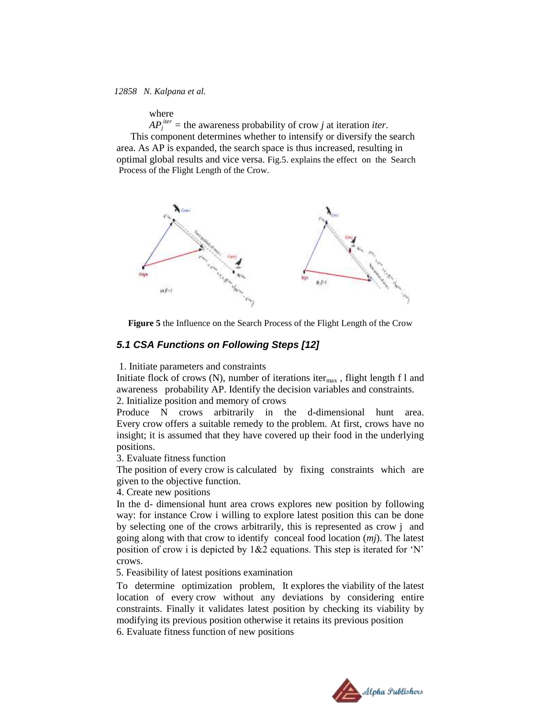where

 $AP_j^{iter}$  = the awareness probability of crow *j* at iteration *iter*. This component determines whether to intensify or diversify the search area. As AP is expanded, the search space is thus increased, resulting in optimal global results and vice versa. Fig.5. explains the effect on the Search Process of the Flight Length of the Crow.



**Figure 5** the Influence on the Search Process of the Flight Length of the Crow

#### *5.1 CSA Functions on Following Steps [12]*

1. Initiate parameters and constraints

Initiate flock of crows (N), number of iterations iter $_{max}$ , flight length f l and awareness probability AP. Identify the decision variables and constraints. 2. Initialize position and memory of crows

Produce N crows arbitrarily in the d-dimensional hunt area. Every crow offers a suitable remedy to the problem. At first, crows have no insight; it is assumed that they have covered up their food in the underlying positions.

3. Evaluate fitness function

The position of every crow is calculated by fixing constraints which are given to the objective function.

4. Create new positions

In the d- dimensional hunt area crows explores new position by following way: for instance Crow i willing to explore latest position this can be done by selecting one of the crows arbitrarily, this is represented as crow j and going along with that crow to identify conceal food location (*mj*). The latest position of crow i is depicted by  $1&2$  equations. This step is iterated for 'N' crows.

5. Feasibility of latest positions examination

To determine optimization problem, It explores the viability of the latest location of every crow without any deviations by considering entire constraints. Finally it validates latest position by checking its viability by modifying its previous position otherwise it retains its previous position

6. Evaluate fitness function of new positions

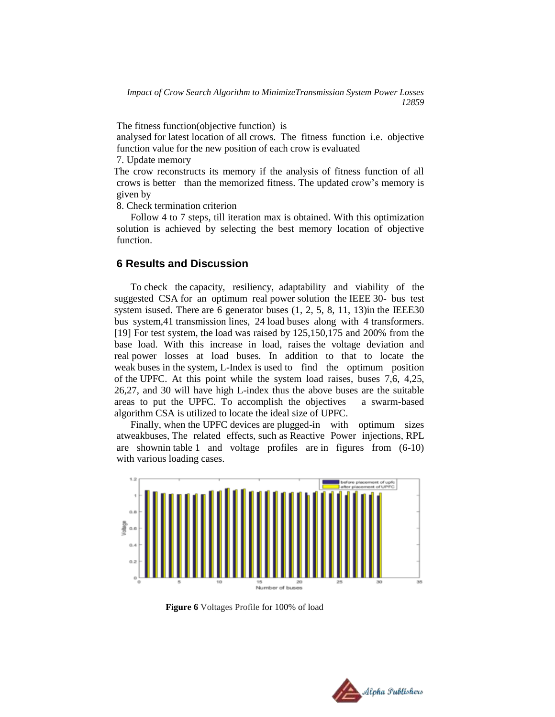The fitness function(objective function) is

analysed for latest location of all crows. The fitness function i.e. objective function value for the new position of each crow is evaluated

7. Update memory

 The crow reconstructs its memory if the analysis of fitness function of all crows is better than the memorized fitness. The updated crow"s memory is given by

8. Check termination criterion

Follow 4 to 7 steps, till iteration max is obtained. With this optimization solution is achieved by selecting the best memory location of objective function.

## **6 Results and Discussion**

To check the capacity, resiliency, adaptability and viability of the suggested CSA for an optimum real power solution the IEEE 30- bus test system isused. There are 6 generator buses  $(1, 2, 5, 8, 11, 13)$  in the IEEE30 bus system,41 transmission lines, 24 load buses along with 4 transformers. [19] For test system, the load was raised by 125,150,175 and 200% from the base load. With this increase in load, raises the voltage deviation and real power losses at load buses. In addition to that to locate the weak buses in the system, L-Index is used to find the optimum position of the UPFC. At this point while the system load raises, buses 7,6, 4,25, 26,27, and 30 will have high L-index thus the above buses are the suitable areas to put the UPFC. To accomplish the objectives a swarm-based algorithm CSA is utilized to locate the ideal size of UPFC.

Finally, when the UPFC devices are plugged-in with optimum sizes atweakbuses, The related effects, such as Reactive Power injections, RPL are shownin table 1 and voltage profiles are in figures from (6-10) with various loading cases.



**Figure 6** Voltages Profile for 100% of load

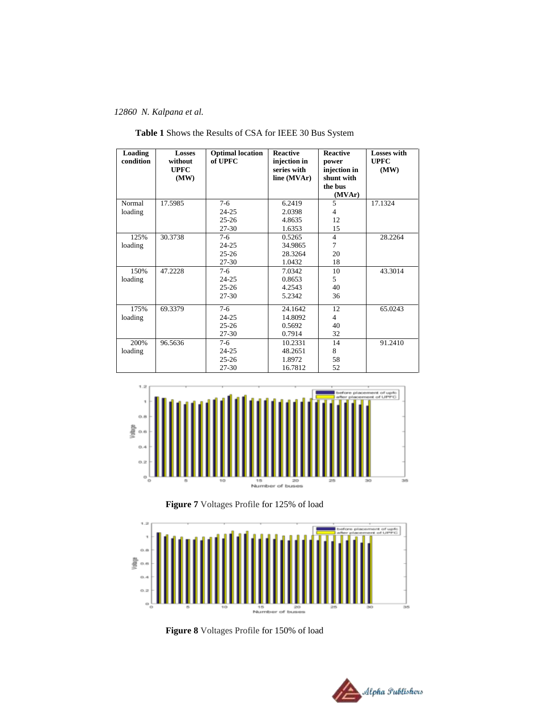| Loading<br>condition | <b>Losses</b><br>without<br><b>UPFC</b><br>(MW) | <b>Optimal</b> location<br>of UPFC | <b>Reactive</b><br>injection in<br>series with<br>line (MVAr) | <b>Reactive</b><br>power<br>injection in<br>shunt with<br>the bus<br>(MVAr) | <b>Losses with</b><br><b>UPFC</b><br>(MW) |
|----------------------|-------------------------------------------------|------------------------------------|---------------------------------------------------------------|-----------------------------------------------------------------------------|-------------------------------------------|
| Normal               | 17.5985                                         | $7-6$                              | 6.2419                                                        | 5                                                                           | 17.1324                                   |
| loading              |                                                 | $24 - 25$                          | 2.0398                                                        | 4                                                                           |                                           |
|                      |                                                 | $25 - 26$                          | 4.8635                                                        | 12                                                                          |                                           |
|                      |                                                 | $27 - 30$                          | 1.6353                                                        | 15                                                                          |                                           |
| 125%                 | 30.3738                                         | $7-6$                              | 0.5265                                                        | $\overline{4}$                                                              | 28.2264                                   |
| loading              |                                                 | $24 - 25$                          | 34.9865                                                       | $\tau$                                                                      |                                           |
|                      |                                                 | $25 - 26$                          | 28.3264                                                       | 20                                                                          |                                           |
|                      |                                                 | $27 - 30$                          | 1.0432                                                        | 18                                                                          |                                           |
| 150%                 | 47.2228                                         | $7-6$                              | 7.0342                                                        | 10                                                                          | 43.3014                                   |
| loading              |                                                 | $24 - 25$                          | 0.8653                                                        | 5                                                                           |                                           |
|                      |                                                 | $25 - 26$                          | 4.2543                                                        | 40                                                                          |                                           |
|                      |                                                 | $27 - 30$                          | 5.2342                                                        | 36                                                                          |                                           |
| 175%                 | 69.3379                                         | $7-6$                              | 24.1642                                                       | 12                                                                          | 65.0243                                   |
| loading              |                                                 | $24 - 25$                          | 14.8092                                                       | $\overline{4}$                                                              |                                           |
|                      |                                                 | $25 - 26$                          | 0.5692                                                        | 40                                                                          |                                           |
|                      |                                                 | $27 - 30$                          | 0.7914                                                        | 32                                                                          |                                           |
| 200%                 | 96.5636                                         | $7-6$                              | 10.2331                                                       | 14                                                                          | 91.2410                                   |
| loading              |                                                 | $24 - 25$                          | 48.2651                                                       | 8                                                                           |                                           |
|                      |                                                 | $25 - 26$                          | 1.8972                                                        | 58                                                                          |                                           |
|                      |                                                 | $27 - 30$                          | 16.7812                                                       | 52                                                                          |                                           |

**Table 1** Shows the Results of CSA for IEEE 30 Bus System







**Figure 8** Voltages Profile for 150% of load

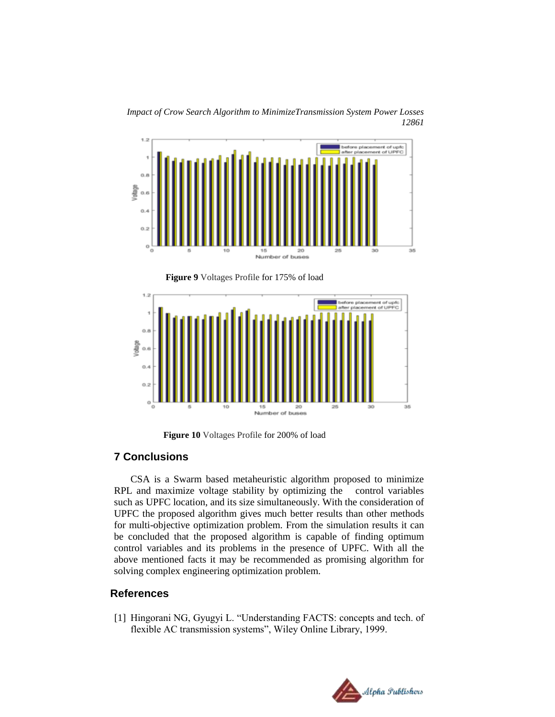

*Impact of Crow Search Algorithm to MinimizeTransmission System Power Losses 12861*





**Figure 10** Voltages Profile for 200% of load

# **7 Conclusions**

CSA is a Swarm based metaheuristic algorithm proposed to minimize RPL and maximize voltage stability by optimizing the control variables such as UPFC location, and its size simultaneously. With the consideration of UPFC the proposed algorithm gives much better results than other methods for multi-objective optimization problem. From the simulation results it can be concluded that the proposed algorithm is capable of finding optimum control variables and its problems in the presence of UPFC. With all the above mentioned facts it may be recommended as promising algorithm for solving complex engineering optimization problem.

## **References**

[1] Hingorani NG, Gyugyi L. "Understanding FACTS: concepts and tech. of flexible AC transmission systems", Wiley Online Library, 1999.

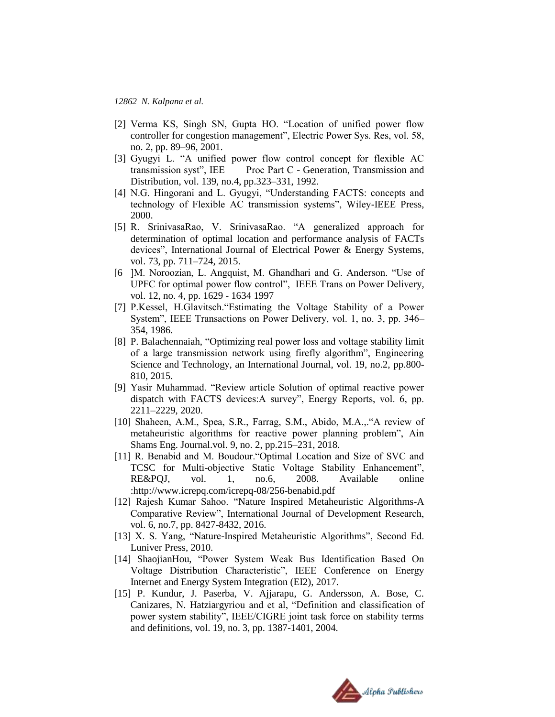- [2] Verma KS, Singh SN, Gupta HO. "Location of unified power flow controller for congestion management", Electric Power Sys. Res, vol. 58, no. 2, pp. 89–96, 2001.
- [3] Gyugyi L. "A unified power flow control concept for flexible AC transmission syst", IEE Proc Part C - Generation, Transmission and Distribution, vol. 139, no.4, pp.323–331, 1992.
- [4] N.G. Hingorani and L. Gyugyi, "Understanding FACTS: concepts and technology of Flexible AC transmission systems", Wiley-IEEE Press, 2000.
- [5] R. SrinivasaRao, V. SrinivasaRao. "A generalized approach for determination of optimal location and performance analysis of FACTs devices", International Journal of Electrical Power & Energy Systems, vol. 73, pp. 711–724, 2015.
- [6 ]M. Noroozian, L. Angquist, M. Ghandhari and G. Anderson. "Use of UPFC for optimal power flow control", IEEE Trans on Power Delivery, vol. 12, no. 4, pp. 1629 - 1634 1997
- [7] P.Kessel, H.Glavitsch."Estimating the Voltage Stability of a Power System", IEEE Transactions on Power Delivery, vol. 1, no. 3, pp. 346– 354, 1986.
- [8] P. Balachennaiah, "Optimizing real power loss and voltage stability limit of a large transmission network using firefly algorithm", Engineering Science and Technology, an International Journal, vol. 19, no.2, pp.800- 810, 2015.
- [9] Yasir Muhammad. "Review article Solution of optimal reactive power dispatch with FACTS devices:A survey", Energy Reports, vol. 6, pp. 2211–2229, 2020.
- [10] Shaheen, A.M., Spea, S.R., Farrag, S.M., Abido, M.A.,."A review of metaheuristic algorithms for reactive power planning problem", Ain Shams Eng. Journal.vol. 9, no. 2, pp.215–231, 2018.
- [11] R. Benabid and M. Boudour."Optimal Location and Size of SVC and TCSC for Multi-objective Static Voltage Stability Enhancement", RE&PQJ, vol. 1, no.6, 2008. Available online :http://www.icrepq.com/icrepq-08/256-benabid.pdf
- [12] Rajesh Kumar Sahoo. "Nature Inspired Metaheuristic Algorithms-A Comparative Review", International Journal of Development Research, vol. 6, no.7, pp. 8427-8432, 2016.
- [13] X. S. Yang, "Nature-Inspired Metaheuristic Algorithms", Second Ed. Luniver Press, 2010.
- [14] ShaojianHou, "Power System Weak Bus Identification Based On Voltage Distribution Characteristic", IEEE Conference on Energy Internet and Energy System Integration (EI2), 2017.
- [15] P. Kundur, J. Paserba, V. Ajjarapu, G. Andersson, A. Bose, C. Canizares, N. Hatziargyriou and et al, "Definition and classification of power system stability", IEEE/CIGRE joint task force on stability terms and definitions, vol. 19, no. 3, pp. 1387-1401, 2004.

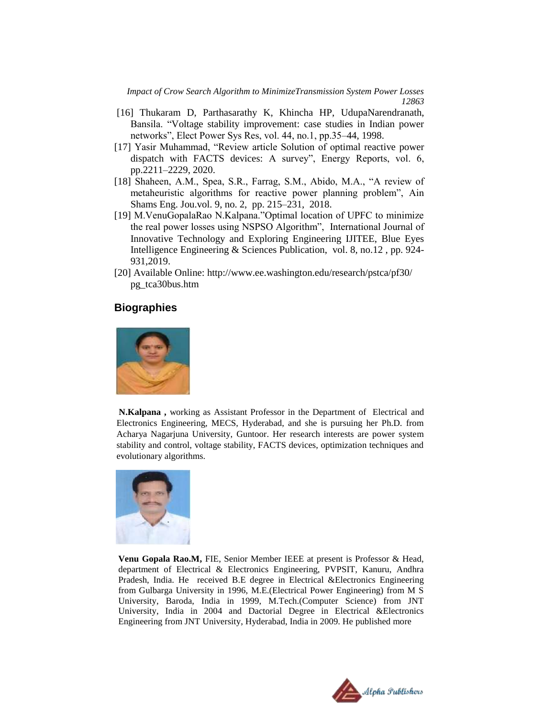*Impact of Crow Search Algorithm to MinimizeTransmission System Power Losses 12863*

- [16] Thukaram D, Parthasarathy K, Khincha HP, UdupaNarendranath, Bansila. "Voltage stability improvement: case studies in Indian power networks", Elect Power Sys Res, vol. 44, no.1, pp.35–44, 1998.
- [17] Yasir Muhammad, "Review article Solution of optimal reactive power dispatch with FACTS devices: A survey", Energy Reports, vol. 6, pp.2211–2229, 2020.
- [18] Shaheen, A.M., Spea, S.R., Farrag, S.M., Abido, M.A., "A review of metaheuristic algorithms for reactive power planning problem", Ain Shams Eng. Jou.vol. 9, no. 2, pp. 215–231, 2018.
- [19] M.VenuGopalaRao N.Kalpana."Optimal location of UPFC to minimize the real power losses using NSPSO Algorithm", International Journal of Innovative Technology and Exploring Engineering IJITEE, Blue Eyes Intelligence Engineering & Sciences Publication, vol. 8, no.12 , pp. 924- 931,2019.
- [20] Available Online: <http://www.ee.washington.edu/research/pstca/pf30/> pg\_tca30bus.htm

### **Biographies**



**N.Kalpana ,** working as Assistant Professor in the Department of Electrical and Electronics Engineering, MECS, Hyderabad, and she is pursuing her Ph.D. from Acharya Nagarjuna University, Guntoor. Her research interests are power system stability and control, voltage stability, FACTS devices, optimization techniques and evolutionary algorithms.



**Venu Gopala Rao.M,** FIE, Senior Member IEEE at present is Professor & Head, department of Electrical & Electronics Engineering, PVPSIT, Kanuru, Andhra Pradesh, India. He received B.E degree in Electrical &Electronics Engineering from Gulbarga University in 1996, M.E.(Electrical Power Engineering) from M S University, Baroda, India in 1999, M.Tech.(Computer Science) from JNT University, India in 2004 and Dactorial Degree in Electrical &Electronics Engineering from JNT University, Hyderabad, India in 2009. He published more